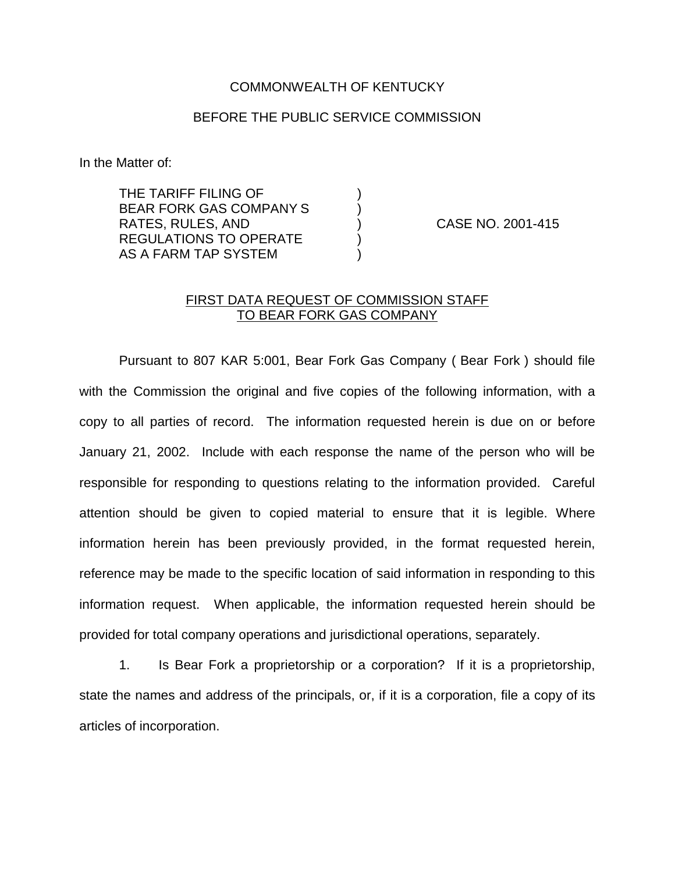## COMMONWEALTH OF KENTUCKY

## BEFORE THE PUBLIC SERVICE COMMISSION

In the Matter of:

THE TARIFF FILING OF ) BEAR FORK GAS COMPANY S  $\qquad \qquad )$ RATES, RULES, AND ) CASE NO. 2001-415 REGULATIONS TO OPERATE  $\qquad \qquad$  ) AS A FARM TAP SYSTEM

## FIRST DATA REQUEST OF COMMISSION STAFF TO BEAR FORK GAS COMPANY

Pursuant to 807 KAR 5:001, Bear Fork Gas Company ( Bear Fork ) should file with the Commission the original and five copies of the following information, with a copy to all parties of record. The information requested herein is due on or before January 21, 2002. Include with each response the name of the person who will be responsible for responding to questions relating to the information provided. Careful attention should be given to copied material to ensure that it is legible. Where information herein has been previously provided, in the format requested herein, reference may be made to the specific location of said information in responding to this information request. When applicable, the information requested herein should be provided for total company operations and jurisdictional operations, separately.

1. Is Bear Fork a proprietorship or a corporation? If it is a proprietorship, state the names and address of the principals, or, if it is a corporation, file a copy of its articles of incorporation.